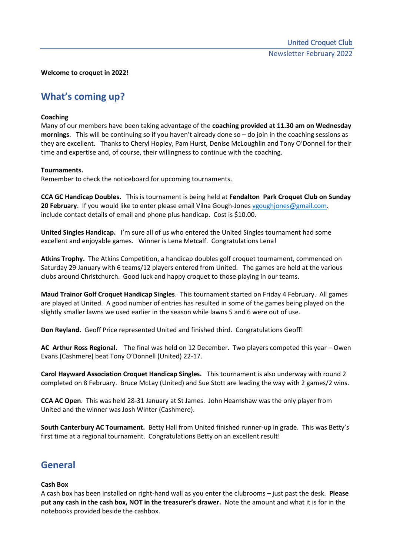#### **Welcome to croquet in 2022!**

# **What's coming up?**

### **Coaching**

Many of our members have been taking advantage of the **coaching provided at 11.30 am on Wednesday mornings**. This will be continuing so if you haven't already done so – do join in the coaching sessions as they are excellent. Thanks to Cheryl Hopley, Pam Hurst, Denise McLoughlin and Tony O'Donnell for their time and expertise and, of course, their willingness to continue with the coaching.

### **Tournaments.**

Remember to check the noticeboard for upcoming tournaments.

**CCA GC Handicap Doubles.** This is tournament is being held at **Fendalton Park Croquet Club on Sunday 20 February**. If you would like to enter please email Vilna Gough-Jones [vgoughjones@gmail.com.](mailto:vgoughjones@gmail.com) include contact details of email and phone plus handicap. Cost is \$10.00.

**United Singles Handicap.** I'm sure all of us who entered the United Singles tournament had some excellent and enjoyable games. Winner is Lena Metcalf. Congratulations Lena!

**Atkins Trophy.** The Atkins Competition, a handicap doubles golf croquet tournament, commenced on Saturday 29 January with 6 teams/12 players entered from United. The games are held at the various clubs around Christchurch. Good luck and happy croquet to those playing in our teams.

**Maud Trainor Golf Croquet Handicap Singles**. This tournament started on Friday 4 February. All games are played at United. A good number of entries has resulted in some of the games being played on the slightly smaller lawns we used earlier in the season while lawns 5 and 6 were out of use.

**Don Reyland.** Geoff Price represented United and finished third. Congratulations Geoff!

**AC Arthur Ross Regional.** The final was held on 12 December. Two players competed this year – Owen Evans (Cashmere) beat Tony O'Donnell (United) 22-17.

**Carol Hayward Association Croquet Handicap Singles.** This tournament is also underway with round 2 completed on 8 February. Bruce McLay (United) and Sue Stott are leading the way with 2 games/2 wins.

**CCA AC Open**. This was held 28-31 January at St James. John Hearnshaw was the only player from United and the winner was Josh Winter (Cashmere).

**South Canterbury AC Tournament.** Betty Hall from United finished runner-up in grade. This was Betty's first time at a regional tournament. Congratulations Betty on an excellent result!

## **General**

### **Cash Box**

A cash box has been installed on right-hand wall as you enter the clubrooms – just past the desk. **Please put any cash in the cash box, NOT in the treasurer's drawer.** Note the amount and what it is for in the notebooks provided beside the cashbox.